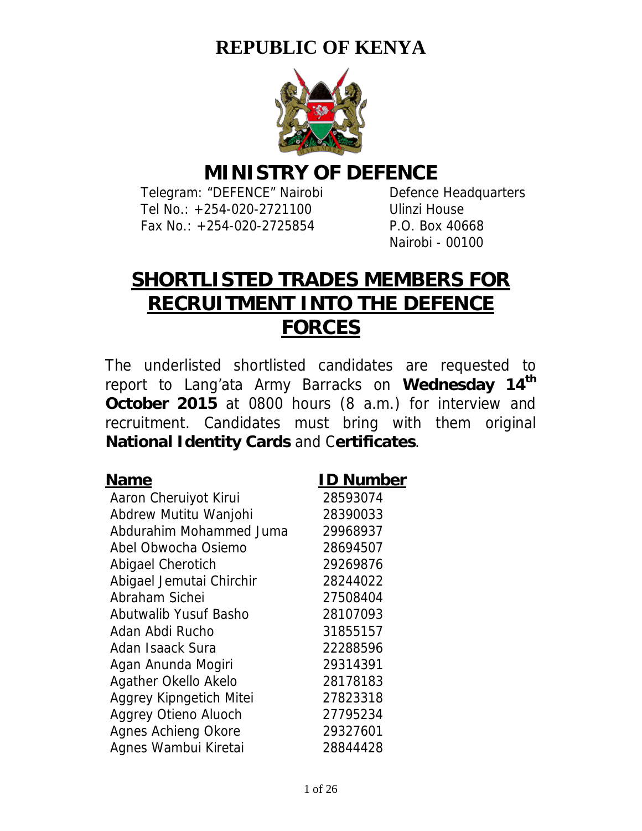## **REPUBLIC OF KENYA**



## **MINISTRY OF DEFENCE**

Telegram: "DEFENCE" Nairobi Defence Headquarters Tel No.: +254-020-2721100 Ulinzi House Fax No.: +254-020-2725854 P.O. Box 40668

Nairobi - 00100

# **SHORTLISTED TRADES MEMBERS FOR RECRUITMENT INTO THE DEFENCE FORCES**

The underlisted shortlisted candidates are requested to report to Lang'ata Army Barracks on **Wednesday 14th October 2015** at 0800 hours (8 a.m.) for interview and recruitment. Candidates must bring with them original **National Identity Cards** and C**ertificates**.

| $\ddotsc$                   |          |
|-----------------------------|----------|
| Aaron Cheruiyot Kirui       | 28593074 |
| Abdrew Mutitu Wanjohi       | 28390033 |
| Abdurahim Mohammed Juma     | 29968937 |
| Abel Obwocha Osiemo         | 28694507 |
| Abigael Cherotich           | 29269876 |
| Abigael Jemutai Chirchir    | 28244022 |
| Abraham Sichei              | 27508404 |
| Abutwalib Yusuf Basho       | 28107093 |
| Adan Abdi Rucho             | 31855157 |
| Adan Isaack Sura            | 22288596 |
| Agan Anunda Mogiri          | 29314391 |
| Agather Okello Akelo        | 28178183 |
| Aggrey Kipngetich Mitei     | 27823318 |
| <b>Aggrey Otieno Aluoch</b> | 27795234 |
| <b>Agnes Achieng Okore</b>  | 29327601 |
| Agnes Wambui Kiretai        | 28844428 |

### **Name ID Number**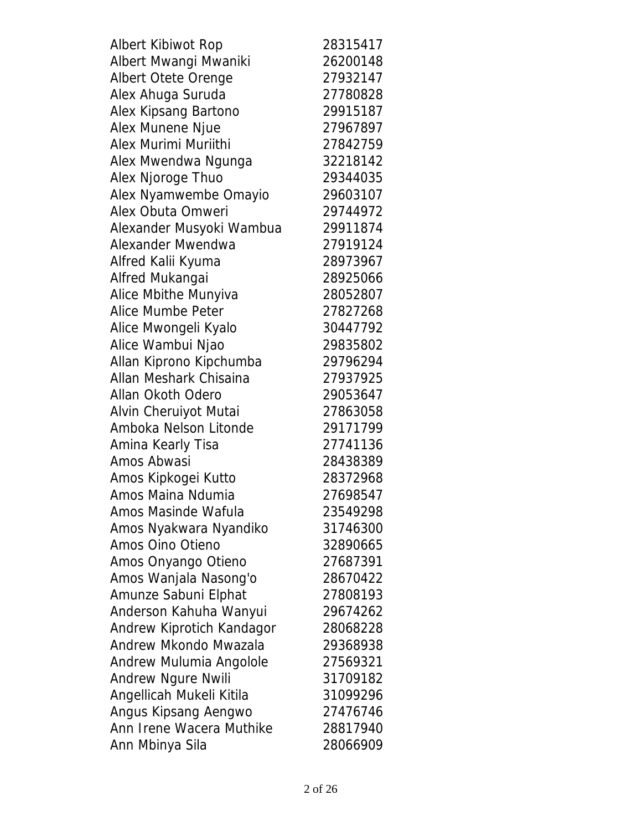| Albert Kibiwot Rop        | 28315417 |
|---------------------------|----------|
| Albert Mwangi Mwaniki     | 26200148 |
| Albert Otete Orenge       | 27932147 |
| Alex Ahuga Suruda         | 27780828 |
| Alex Kipsang Bartono      | 29915187 |
| Alex Munene Njue          | 27967897 |
| Alex Murimi Muriithi      | 27842759 |
| Alex Mwendwa Ngunga       | 32218142 |
| Alex Njoroge Thuo         | 29344035 |
| Alex Nyamwembe Omayio     | 29603107 |
| Alex Obuta Omweri         | 29744972 |
| Alexander Musyoki Wambua  | 29911874 |
| <b>Alexander Mwendwa</b>  | 27919124 |
| Alfred Kalii Kyuma        | 28973967 |
| Alfred Mukangai           | 28925066 |
| Alice Mbithe Munyiva      | 28052807 |
| Alice Mumbe Peter         | 27827268 |
| Alice Mwongeli Kyalo      | 30447792 |
| Alice Wambui Njao         | 29835802 |
| Allan Kiprono Kipchumba   | 29796294 |
| Allan Meshark Chisaina    | 27937925 |
| Allan Okoth Odero         | 29053647 |
| Alvin Cheruiyot Mutai     | 27863058 |
| Amboka Nelson Litonde     | 29171799 |
| Amina Kearly Tisa         | 27741136 |
| Amos Abwasi               | 28438389 |
| Amos Kipkogei Kutto       | 28372968 |
| Amos Maina Ndumia         | 27698547 |
| Amos Masinde Wafula       | 23549298 |
| Amos Nyakwara Nyandiko    | 31746300 |
| Amos Oino Otieno          | 32890665 |
| Amos Onyango Otieno       | 27687391 |
| Amos Wanjala Nasong'o     | 28670422 |
| Amunze Sabuni Elphat      | 27808193 |
| Anderson Kahuha Wanyui    | 29674262 |
| Andrew Kiprotich Kandagor | 28068228 |
| Andrew Mkondo Mwazala     | 29368938 |
| Andrew Mulumia Angolole   | 27569321 |
| <b>Andrew Ngure Nwili</b> | 31709182 |
| Angellicah Mukeli Kitila  | 31099296 |
| Angus Kipsang Aengwo      | 27476746 |
| Ann Irene Wacera Muthike  | 28817940 |
| Ann Mbinya Sila           | 28066909 |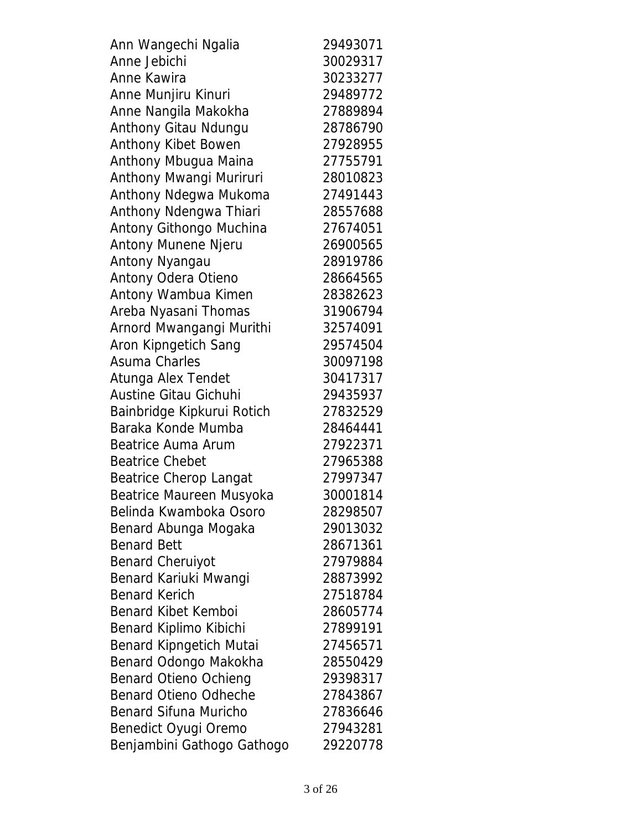| Ann Wangechi Ngalia            | 29493071 |
|--------------------------------|----------|
| Anne Jebichi                   | 30029317 |
| Anne Kawira                    | 30233277 |
| Anne Munjiru Kinuri            | 29489772 |
| Anne Nangila Makokha           | 27889894 |
| Anthony Gitau Ndungu           | 28786790 |
| Anthony Kibet Bowen            | 27928955 |
| Anthony Mbugua Maina           | 27755791 |
| Anthony Mwangi Muriruri        | 28010823 |
| Anthony Ndegwa Mukoma          | 27491443 |
| Anthony Ndengwa Thiari         | 28557688 |
| Antony Githongo Muchina        | 27674051 |
| Antony Munene Njeru            | 26900565 |
| Antony Nyangau                 | 28919786 |
| Antony Odera Otieno            | 28664565 |
| Antony Wambua Kimen            | 28382623 |
| Areba Nyasani Thomas           | 31906794 |
| Arnord Mwangangi Murithi       | 32574091 |
| Aron Kipngetich Sang           | 29574504 |
| <b>Asuma Charles</b>           | 30097198 |
| Atunga Alex Tendet             | 30417317 |
| <b>Austine Gitau Gichuhi</b>   | 29435937 |
| Bainbridge Kipkurui Rotich     | 27832529 |
| Baraka Konde Mumba             | 28464441 |
| Beatrice Auma Arum             | 27922371 |
| <b>Beatrice Chebet</b>         | 27965388 |
| <b>Beatrice Cherop Langat</b>  | 27997347 |
| Beatrice Maureen Musyoka       | 30001814 |
| Belinda Kwamboka Osoro         | 28298507 |
| Benard Abunga Mogaka           | 29013032 |
| <b>Benard Bett</b>             | 28671361 |
| <b>Benard Cheruiyot</b>        | 27979884 |
| Benard Kariuki Mwangi          | 28873992 |
| <b>Benard Kerich</b>           | 27518784 |
| <b>Benard Kibet Kemboi</b>     | 28605774 |
| Benard Kiplimo Kibichi         | 27899191 |
| <b>Benard Kipngetich Mutai</b> | 27456571 |
| Benard Odongo Makokha          | 28550429 |
| <b>Benard Otieno Ochieng</b>   | 29398317 |
| <b>Benard Otieno Odheche</b>   | 27843867 |
| <b>Benard Sifuna Muricho</b>   | 27836646 |
| Benedict Oyugi Oremo           | 27943281 |
| Benjambini Gathogo Gathogo     | 29220778 |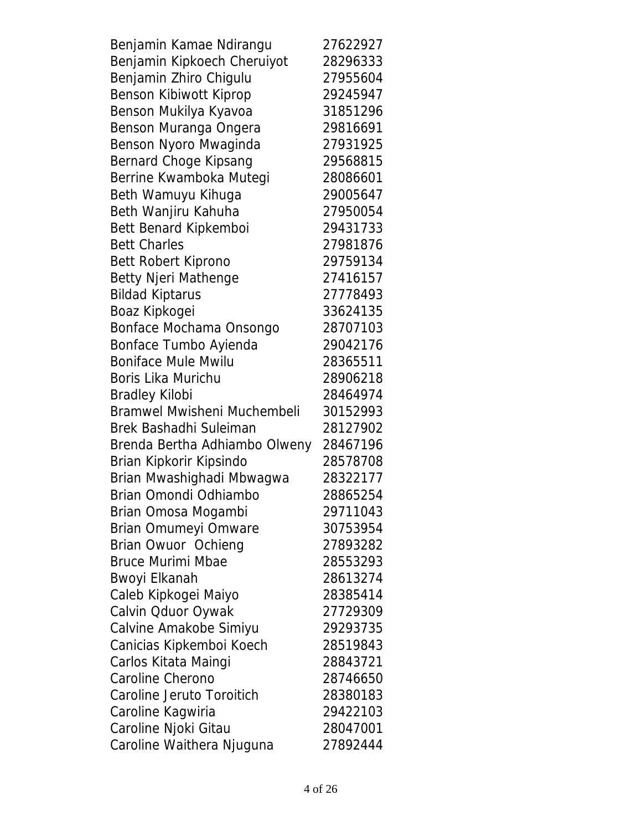| Benjamin Kamae Ndirangu       | 27622927 |
|-------------------------------|----------|
| Benjamin Kipkoech Cheruiyot   | 28296333 |
| Benjamin Zhiro Chigulu        | 27955604 |
| Benson Kibiwott Kiprop        | 29245947 |
| Benson Mukilya Kyavoa         | 31851296 |
| Benson Muranga Ongera         | 29816691 |
| Benson Nyoro Mwaginda         | 27931925 |
| Bernard Choge Kipsang         | 29568815 |
| Berrine Kwamboka Mutegi       | 28086601 |
| Beth Wamuyu Kihuga            | 29005647 |
| Beth Wanjiru Kahuha           | 27950054 |
| Bett Benard Kipkemboi         | 29431733 |
| <b>Bett Charles</b>           | 27981876 |
| Bett Robert Kiprono           | 29759134 |
| <b>Betty Njeri Mathenge</b>   | 27416157 |
| <b>Bildad Kiptarus</b>        | 27778493 |
| Boaz Kipkogei                 | 33624135 |
| Bonface Mochama Onsongo       | 28707103 |
| Bonface Tumbo Ayienda         | 29042176 |
| <b>Boniface Mule Mwilu</b>    | 28365511 |
| Boris Lika Murichu            | 28906218 |
| <b>Bradley Kilobi</b>         | 28464974 |
| Bramwel Mwisheni Muchembeli   | 30152993 |
| Brek Bashadhi Suleiman        | 28127902 |
| Brenda Bertha Adhiambo Olweny | 28467196 |
| Brian Kipkorir Kipsindo       | 28578708 |
| Brian Mwashighadi Mbwagwa     | 28322177 |
| Brian Omondi Odhiambo         | 28865254 |
| Brian Omosa Mogambi           | 29711043 |
| Brian Omumeyi Omware          | 30753954 |
| Brian Owuor Ochieng           | 27893282 |
| <b>Bruce Murimi Mbae</b>      | 28553293 |
| Bwoyi Elkanah                 | 28613274 |
| Caleb Kipkogei Maiyo          | 28385414 |
| Calvin Oduor Oywak            | 27729309 |
| Calvine Amakobe Simiyu        | 29293735 |
| Canicias Kipkemboi Koech      | 28519843 |
| Carlos Kitata Maingi          | 28843721 |
| Caroline Cherono              | 28746650 |
| Caroline Jeruto Toroitich     | 28380183 |
| Caroline Kagwiria             | 29422103 |
| Caroline Njoki Gitau          | 28047001 |
| Caroline Waithera Njuguna     | 27892444 |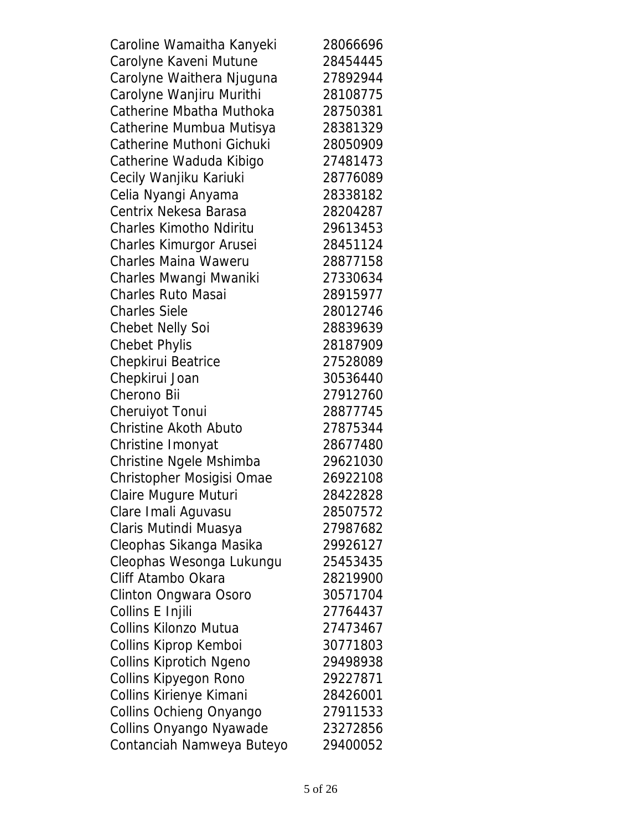| Caroline Wamaitha Kanyeki      | 28066696 |
|--------------------------------|----------|
| Carolyne Kaveni Mutune         | 28454445 |
| Carolyne Waithera Njuguna      | 27892944 |
| Carolyne Wanjiru Murithi       | 28108775 |
| Catherine Mbatha Muthoka       | 28750381 |
| Catherine Mumbua Mutisya       | 28381329 |
| Catherine Muthoni Gichuki      | 28050909 |
| Catherine Waduda Kibigo        | 27481473 |
| Cecily Wanjiku Kariuki         | 28776089 |
| Celia Nyangi Anyama            | 28338182 |
| Centrix Nekesa Barasa          | 28204287 |
| <b>Charles Kimotho Ndiritu</b> | 29613453 |
| Charles Kimurgor Arusei        | 28451124 |
| <b>Charles Maina Waweru</b>    | 28877158 |
| Charles Mwangi Mwaniki         | 27330634 |
| <b>Charles Ruto Masai</b>      | 28915977 |
| <b>Charles Siele</b>           | 28012746 |
| <b>Chebet Nelly Soi</b>        | 28839639 |
| <b>Chebet Phylis</b>           | 28187909 |
| Chepkirui Beatrice             | 27528089 |
| Chepkirui Joan                 | 30536440 |
| Cherono Bii                    | 27912760 |
| <b>Cheruiyot Tonui</b>         | 28877745 |
| <b>Christine Akoth Abuto</b>   | 27875344 |
| Christine Imonyat              | 28677480 |
| Christine Ngele Mshimba        | 29621030 |
| Christopher Mosigisi Omae      | 26922108 |
| Claire Mugure Muturi           | 28422828 |
| Clare Imali Aguvasu            | 28507572 |
| Claris Mutindi Muasya          | 27987682 |
| Cleophas Sikanga Masika        | 29926127 |
| Cleophas Wesonga Lukungu       | 25453435 |
| Cliff Atambo Okara             | 28219900 |
| Clinton Ongwara Osoro          | 30571704 |
| Collins E Injili               | 27764437 |
| Collins Kilonzo Mutua          | 27473467 |
| Collins Kiprop Kemboi          | 30771803 |
| <b>Collins Kiprotich Ngeno</b> | 29498938 |
| Collins Kipyegon Rono          | 29227871 |
| Collins Kirienye Kimani        | 28426001 |
| Collins Ochieng Onyango        | 27911533 |
| Collins Onyango Nyawade        | 23272856 |
| Contanciah Namweya Buteyo      | 29400052 |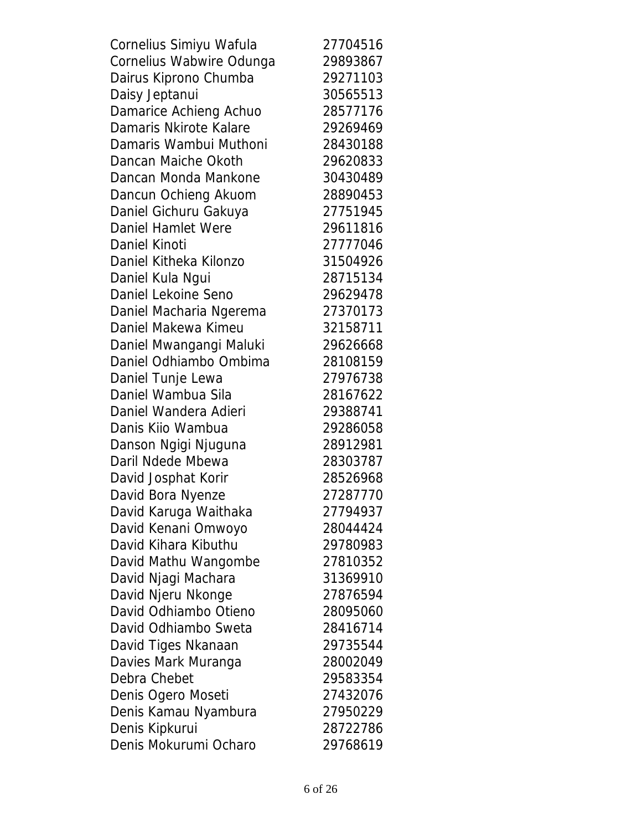| Cornelius Simiyu Wafula  | 27704516 |
|--------------------------|----------|
| Cornelius Wabwire Odunga | 29893867 |
| Dairus Kiprono Chumba    | 29271103 |
| Daisy Jeptanui           | 30565513 |
| Damarice Achieng Achuo   | 28577176 |
| Damaris Nkirote Kalare   | 29269469 |
| Damaris Wambui Muthoni   | 28430188 |
| Dancan Maiche Okoth      | 29620833 |
| Dancan Monda Mankone     | 30430489 |
| Dancun Ochieng Akuom     | 28890453 |
| Daniel Gichuru Gakuya    | 27751945 |
| Daniel Hamlet Were       | 29611816 |
| <b>Daniel Kinoti</b>     | 27777046 |
| Daniel Kitheka Kilonzo   | 31504926 |
| Daniel Kula Ngui         | 28715134 |
| Daniel Lekoine Seno      | 29629478 |
| Daniel Macharia Ngerema  | 27370173 |
| Daniel Makewa Kimeu      | 32158711 |
| Daniel Mwangangi Maluki  | 29626668 |
| Daniel Odhiambo Ombima   | 28108159 |
| Daniel Tunje Lewa        | 27976738 |
| Daniel Wambua Sila       | 28167622 |
| Daniel Wandera Adieri    | 29388741 |
| Danis Kiio Wambua        | 29286058 |
| Danson Ngigi Njuguna     | 28912981 |
| Daril Ndede Mbewa        | 28303787 |
| David Josphat Korir      | 28526968 |
| David Bora Nyenze        | 27287770 |
| David Karuga Waithaka    | 27794937 |
| David Kenani Omwoyo      | 28044424 |
| David Kihara Kibuthu     | 29780983 |
| David Mathu Wangombe     | 27810352 |
| David Njagi Machara      | 31369910 |
| David Njeru Nkonge       | 27876594 |
| David Odhiambo Otieno    | 28095060 |
| David Odhiambo Sweta     | 28416714 |
| David Tiges Nkanaan      | 29735544 |
| Davies Mark Muranga      | 28002049 |
| Debra Chebet             | 29583354 |
| Denis Ogero Moseti       | 27432076 |
| Denis Kamau Nyambura     | 27950229 |
| Denis Kipkurui           | 28722786 |
| Denis Mokurumi Ocharo    | 29768619 |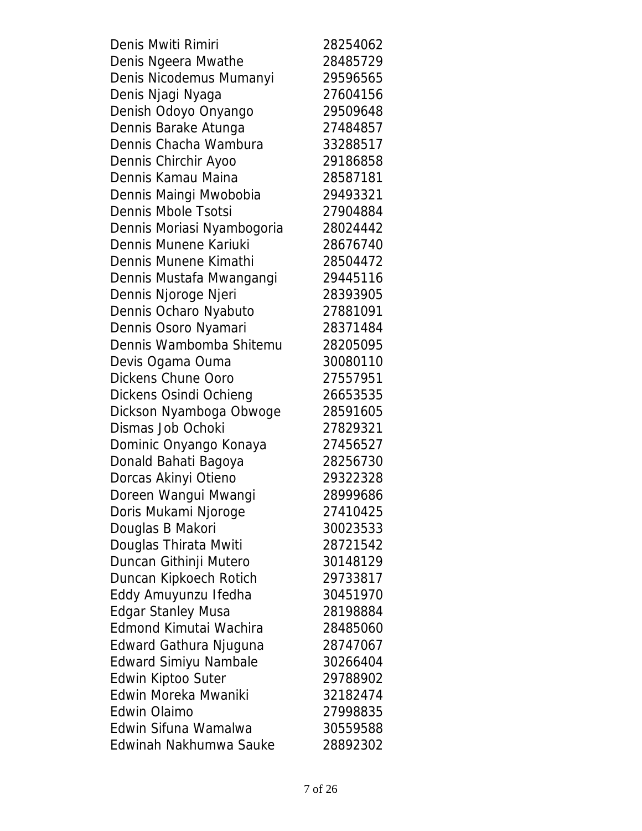| Denis Mwiti Rimiri           | 28254062 |
|------------------------------|----------|
| Denis Ngeera Mwathe          | 28485729 |
| Denis Nicodemus Mumanyi      | 29596565 |
| Denis Njagi Nyaga            | 27604156 |
| Denish Odoyo Onyango         | 29509648 |
| Dennis Barake Atunga         | 27484857 |
| Dennis Chacha Wambura        | 33288517 |
| Dennis Chirchir Ayoo         | 29186858 |
| Dennis Kamau Maina           | 28587181 |
| Dennis Maingi Mwobobia       | 29493321 |
| <b>Dennis Mbole Tsotsi</b>   | 27904884 |
| Dennis Moriasi Nyambogoria   | 28024442 |
| Dennis Munene Kariuki        | 28676740 |
| Dennis Munene Kimathi        | 28504472 |
| Dennis Mustafa Mwangangi     | 29445116 |
| Dennis Njoroge Njeri         | 28393905 |
| Dennis Ocharo Nyabuto        | 27881091 |
| Dennis Osoro Nyamari         | 28371484 |
| Dennis Wambomba Shitemu      | 28205095 |
| Devis Ogama Ouma             | 30080110 |
| <b>Dickens Chune Ooro</b>    | 27557951 |
| Dickens Osindi Ochieng       | 26653535 |
| Dickson Nyamboga Obwoge      | 28591605 |
| Dismas Job Ochoki            | 27829321 |
| Dominic Onyango Konaya       | 27456527 |
| Donald Bahati Bagoya         | 28256730 |
| Dorcas Akinyi Otieno         | 29322328 |
| Doreen Wangui Mwangi         | 28999686 |
| Doris Mukami Njoroge         | 27410425 |
| Douglas B Makori             | 30023533 |
| Douglas Thirata Mwiti        | 28721542 |
| Duncan Githinji Mutero       | 30148129 |
| Duncan Kipkoech Rotich       | 29733817 |
| Eddy Amuyunzu Ifedha         | 30451970 |
| <b>Edgar Stanley Musa</b>    | 28198884 |
| Edmond Kimutai Wachira       | 28485060 |
| Edward Gathura Njuguna       | 28747067 |
| <b>Edward Simiyu Nambale</b> | 30266404 |
| Edwin Kiptoo Suter           | 29788902 |
| Edwin Moreka Mwaniki         | 32182474 |
| <b>Edwin Olaimo</b>          | 27998835 |
| Edwin Sifuna Wamalwa         | 30559588 |
| Edwinah Nakhumwa Sauke       | 28892302 |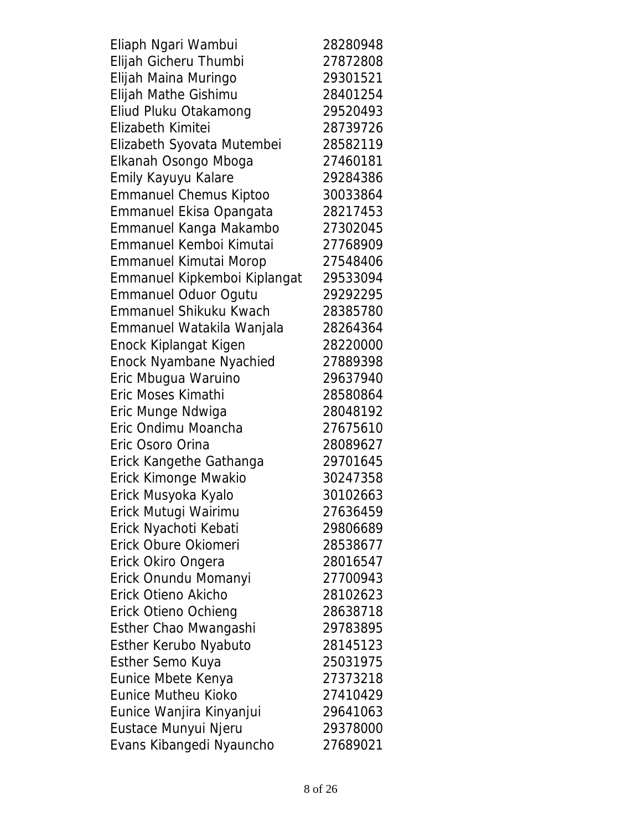| Eliaph Ngari Wambui           | 28280948 |
|-------------------------------|----------|
| Elijah Gicheru Thumbi         | 27872808 |
| Elijah Maina Muringo          | 29301521 |
| Elijah Mathe Gishimu          | 28401254 |
| Eliud Pluku Otakamong         | 29520493 |
| Elizabeth Kimitei             | 28739726 |
| Elizabeth Syovata Mutembei    | 28582119 |
| Elkanah Osongo Mboga          | 27460181 |
| Emily Kayuyu Kalare           | 29284386 |
| <b>Emmanuel Chemus Kiptoo</b> | 30033864 |
| Emmanuel Ekisa Opangata       | 28217453 |
| Emmanuel Kanga Makambo        | 27302045 |
| Emmanuel Kemboi Kimutai       | 27768909 |
| <b>Emmanuel Kimutai Morop</b> | 27548406 |
| Emmanuel Kipkemboi Kiplangat  | 29533094 |
| <b>Emmanuel Oduor Ogutu</b>   | 29292295 |
| <b>Emmanuel Shikuku Kwach</b> | 28385780 |
| Emmanuel Watakila Wanjala     | 28264364 |
| Enock Kiplangat Kigen         | 28220000 |
| Enock Nyambane Nyachied       | 27889398 |
| Eric Mbugua Waruino           | 29637940 |
| Eric Moses Kimathi            | 28580864 |
| Eric Munge Ndwiga             | 28048192 |
| Eric Ondimu Moancha           | 27675610 |
| Eric Osoro Orina              | 28089627 |
| Erick Kangethe Gathanga       | 29701645 |
| Erick Kimonge Mwakio          | 30247358 |
| Erick Musyoka Kyalo           | 30102663 |
| Erick Mutugi Wairimu          | 27636459 |
| Erick Nyachoti Kebati         | 29806689 |
| Erick Obure Okiomeri          | 28538677 |
| Erick Okiro Ongera            | 28016547 |
| Erick Onundu Momanyi          | 27700943 |
| Erick Otieno Akicho           | 28102623 |
| Erick Otieno Ochieng          | 28638718 |
| Esther Chao Mwangashi         | 29783895 |
| Esther Kerubo Nyabuto         | 28145123 |
| Esther Semo Kuya              | 25031975 |
| Eunice Mbete Kenya            | 27373218 |
| <b>Eunice Mutheu Kioko</b>    | 27410429 |
| Eunice Wanjira Kinyanjui      | 29641063 |
| Eustace Munyui Njeru          | 29378000 |
| Evans Kibangedi Nyauncho      | 27689021 |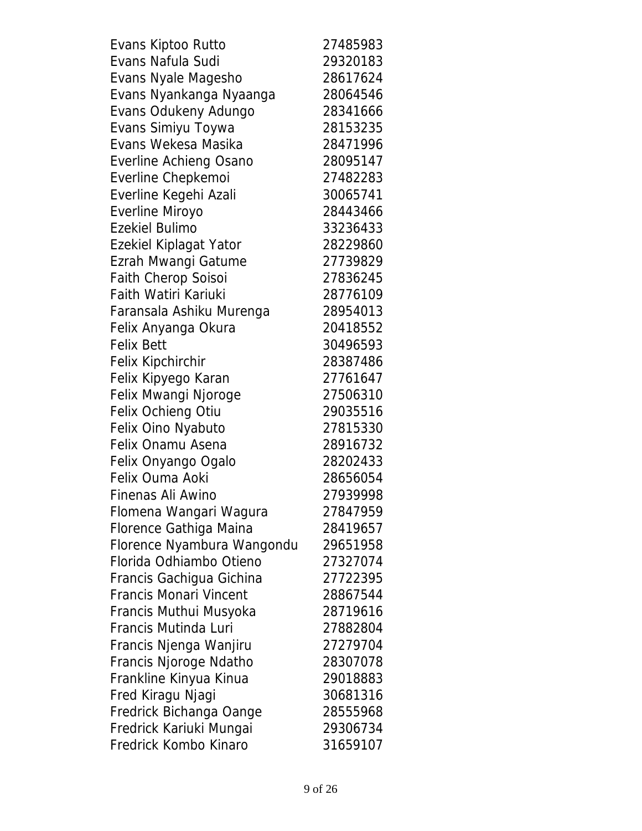| Evans Kiptoo Rutto            | 27485983 |
|-------------------------------|----------|
| Evans Nafula Sudi             | 29320183 |
| Evans Nyale Magesho           | 28617624 |
| Evans Nyankanga Nyaanga       | 28064546 |
| Evans Odukeny Adungo          | 28341666 |
| Evans Simiyu Toywa            | 28153235 |
| Evans Wekesa Masika           | 28471996 |
| <b>Everline Achieng Osano</b> | 28095147 |
| Everline Chepkemoi            | 27482283 |
| Everline Kegehi Azali         | 30065741 |
| Everline Miroyo               | 28443466 |
| <b>Ezekiel Bulimo</b>         | 33236433 |
| Ezekiel Kiplagat Yator        | 28229860 |
| Ezrah Mwangi Gatume           | 27739829 |
| Faith Cherop Soisoi           | 27836245 |
| Faith Watiri Kariuki          | 28776109 |
| Faransala Ashiku Murenga      | 28954013 |
| Felix Anyanga Okura           | 20418552 |
| <b>Felix Bett</b>             | 30496593 |
| <b>Felix Kipchirchir</b>      | 28387486 |
| Felix Kipyego Karan           | 27761647 |
| Felix Mwangi Njoroge          | 27506310 |
| Felix Ochieng Otiu            | 29035516 |
| Felix Oino Nyabuto            | 27815330 |
| Felix Onamu Asena             | 28916732 |
| Felix Onyango Ogalo           | 28202433 |
| Felix Ouma Aoki               | 28656054 |
| Finenas Ali Awino             | 27939998 |
| Flomena Wangari Wagura        | 27847959 |
| Florence Gathiga Maina        | 28419657 |
| Florence Nyambura Wangondu    | 29651958 |
| Florida Odhiambo Otieno       | 27327074 |
| Francis Gachigua Gichina      | 27722395 |
| <b>Francis Monari Vincent</b> | 28867544 |
| Francis Muthui Musyoka        | 28719616 |
| Francis Mutinda Luri          | 27882804 |
| Francis Njenga Wanjiru        | 27279704 |
| Francis Njoroge Ndatho        | 28307078 |
| Frankline Kinyua Kinua        | 29018883 |
| Fred Kiragu Njagi             | 30681316 |
| Fredrick Bichanga Oange       | 28555968 |
| Fredrick Kariuki Mungai       | 29306734 |
| Fredrick Kombo Kinaro         | 31659107 |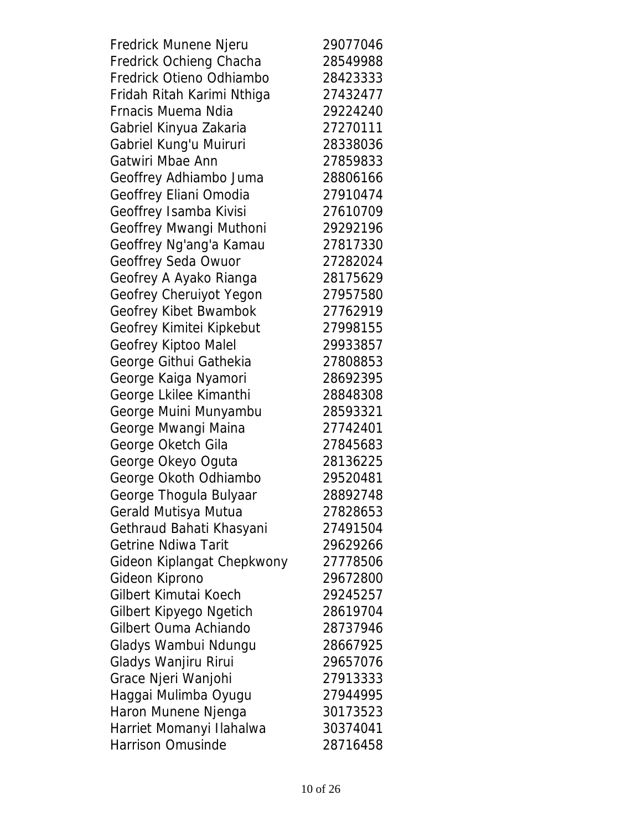| Fredrick Munene Njeru      | 29077046 |
|----------------------------|----------|
| Fredrick Ochieng Chacha    | 28549988 |
| Fredrick Otieno Odhiambo   | 28423333 |
| Fridah Ritah Karimi Nthiga | 27432477 |
| Frnacis Muema Ndia         | 29224240 |
| Gabriel Kinyua Zakaria     | 27270111 |
| Gabriel Kung'u Muiruri     | 28338036 |
| Gatwiri Mbae Ann           | 27859833 |
| Geoffrey Adhiambo Juma     | 28806166 |
| Geoffrey Eliani Omodia     | 27910474 |
| Geoffrey Isamba Kivisi     | 27610709 |
| Geoffrey Mwangi Muthoni    | 29292196 |
| Geoffrey Ng'ang'a Kamau    | 27817330 |
| Geoffrey Seda Owuor        | 27282024 |
| Geofrey A Ayako Rianga     | 28175629 |
| Geofrey Cheruiyot Yegon    | 27957580 |
| Geofrey Kibet Bwambok      | 27762919 |
| Geofrey Kimitei Kipkebut   | 27998155 |
| Geofrey Kiptoo Malel       | 29933857 |
| George Githui Gathekia     | 27808853 |
| George Kaiga Nyamori       | 28692395 |
| George Lkilee Kimanthi     | 28848308 |
| George Muini Munyambu      | 28593321 |
| George Mwangi Maina        | 27742401 |
| George Oketch Gila         | 27845683 |
| George Okeyo Oguta         | 28136225 |
| George Okoth Odhiambo      | 29520481 |
| George Thogula Bulyaar     | 28892748 |
| Gerald Mutisya Mutua       | 27828653 |
| Gethraud Bahati Khasyani   | 27491504 |
| <b>Getrine Ndiwa Tarit</b> | 29629266 |
| Gideon Kiplangat Chepkwony | 27778506 |
| Gideon Kiprono             | 29672800 |
| Gilbert Kimutai Koech      | 29245257 |
| Gilbert Kipyego Ngetich    | 28619704 |
| Gilbert Ouma Achiando      | 28737946 |
| Gladys Wambui Ndungu       | 28667925 |
| Gladys Wanjiru Rirui       | 29657076 |
| Grace Njeri Wanjohi        | 27913333 |
| Haggai Mulimba Oyugu       | 27944995 |
| Haron Munene Njenga        | 30173523 |
| Harriet Momanyi Ilahalwa   | 30374041 |
| Harrison Omusinde          | 28716458 |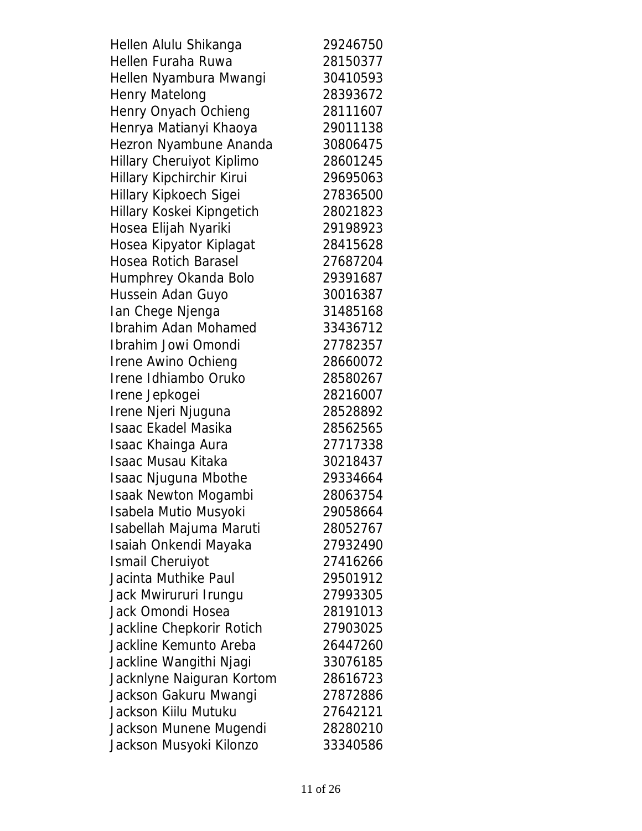| Hellen Alulu Shikanga       | 29246750 |
|-----------------------------|----------|
| Hellen Furaha Ruwa          | 28150377 |
| Hellen Nyambura Mwangi      | 30410593 |
| <b>Henry Matelong</b>       | 28393672 |
| Henry Onyach Ochieng        | 28111607 |
| Henrya Matianyi Khaoya      | 29011138 |
| Hezron Nyambune Ananda      | 30806475 |
| Hillary Cheruiyot Kiplimo   | 28601245 |
| Hillary Kipchirchir Kirui   | 29695063 |
| Hillary Kipkoech Sigei      | 27836500 |
| Hillary Koskei Kipngetich   | 28021823 |
| Hosea Elijah Nyariki        | 29198923 |
| Hosea Kipyator Kiplagat     | 28415628 |
| <b>Hosea Rotich Barasel</b> | 27687204 |
| Humphrey Okanda Bolo        | 29391687 |
| Hussein Adan Guyo           | 30016387 |
| Ian Chege Njenga            | 31485168 |
| Ibrahim Adan Mohamed        | 33436712 |
| Ibrahim Jowi Omondi         | 27782357 |
| <b>Irene Awino Ochieng</b>  | 28660072 |
| Irene Idhiambo Oruko        | 28580267 |
| Irene Jepkogei              | 28216007 |
| Irene Njeri Njuguna         | 28528892 |
| <b>Isaac Ekadel Masika</b>  | 28562565 |
| Isaac Khainga Aura          | 27717338 |
| <b>Isaac Musau Kitaka</b>   | 30218437 |
| <b>Isaac Njuguna Mbothe</b> | 29334664 |
| <b>Isaak Newton Mogambi</b> | 28063754 |
| Isabela Mutio Musyoki       | 29058664 |
| Isabellah Majuma Maruti     | 28052767 |
| Isaiah Onkendi Mayaka       | 27932490 |
| <b>Ismail Cheruiyot</b>     | 27416266 |
| Jacinta Muthike Paul        | 29501912 |
| Jack Mwirururi Irungu       | 27993305 |
| Jack Omondi Hosea           | 28191013 |
| Jackline Chepkorir Rotich   | 27903025 |
| Jackline Kemunto Areba      | 26447260 |
| Jackline Wangithi Njagi     | 33076185 |
| Jacknlyne Naiguran Kortom   | 28616723 |
| Jackson Gakuru Mwangi       | 27872886 |
| Jackson Kiilu Mutuku        | 27642121 |
| Jackson Munene Mugendi      | 28280210 |
| Jackson Musyoki Kilonzo     | 33340586 |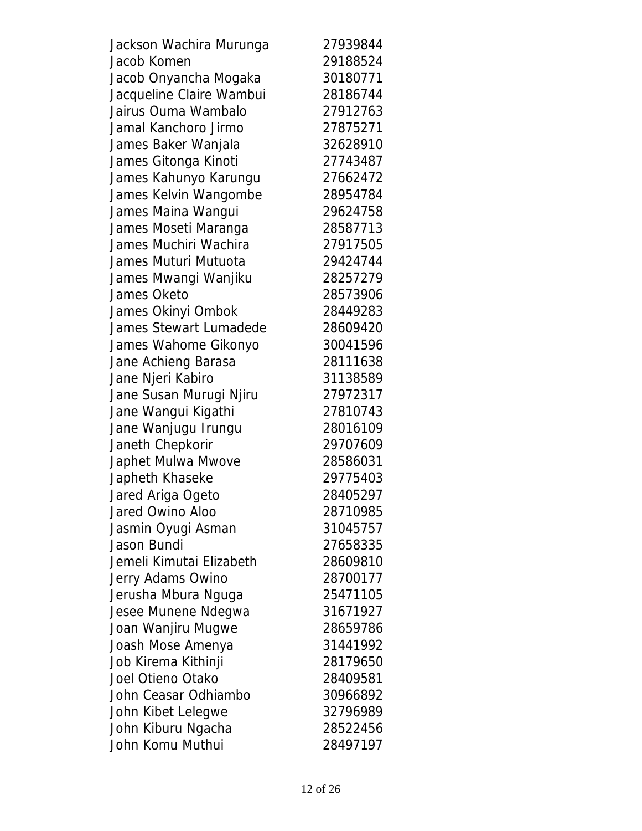| Jackson Wachira Murunga  | 27939844 |
|--------------------------|----------|
| Jacob Komen              | 29188524 |
| Jacob Onyancha Mogaka    | 30180771 |
| Jacqueline Claire Wambui | 28186744 |
| Jairus Ouma Wambalo      | 27912763 |
| Jamal Kanchoro Jirmo     | 27875271 |
| James Baker Wanjala      | 32628910 |
| James Gitonga Kinoti     | 27743487 |
| James Kahunyo Karungu    | 27662472 |
| James Kelvin Wangombe    | 28954784 |
| James Maina Wangui       | 29624758 |
| James Moseti Maranga     | 28587713 |
| James Muchiri Wachira    | 27917505 |
| James Muturi Mutuota     | 29424744 |
| James Mwangi Wanjiku     | 28257279 |
| James Oketo              | 28573906 |
| James Okinyi Ombok       | 28449283 |
| James Stewart Lumadede   | 28609420 |
| James Wahome Gikonyo     | 30041596 |
| Jane Achieng Barasa      | 28111638 |
| Jane Njeri Kabiro        | 31138589 |
| Jane Susan Murugi Njiru  | 27972317 |
| Jane Wangui Kigathi      | 27810743 |
| Jane Wanjugu Irungu      | 28016109 |
| Janeth Chepkorir         | 29707609 |
| Japhet Mulwa Mwove       | 28586031 |
| Japheth Khaseke          | 29775403 |
| Jared Ariga Ogeto        | 28405297 |
| Jared Owino Aloo         | 28710985 |
| Jasmin Oyugi Asman       | 31045757 |
| Jason Bundi              | 27658335 |
| Jemeli Kimutai Elizabeth | 28609810 |
| Jerry Adams Owino        | 28700177 |
| Jerusha Mbura Nguga      | 25471105 |
| Jesee Munene Ndegwa      | 31671927 |
| Joan Wanjiru Mugwe       | 28659786 |
| Joash Mose Amenya        | 31441992 |
| Job Kirema Kithinji      | 28179650 |
| Joel Otieno Otako        | 28409581 |
| John Ceasar Odhiambo     | 30966892 |
| John Kibet Lelegwe       | 32796989 |
| John Kiburu Ngacha       | 28522456 |
| John Komu Muthui         | 28497197 |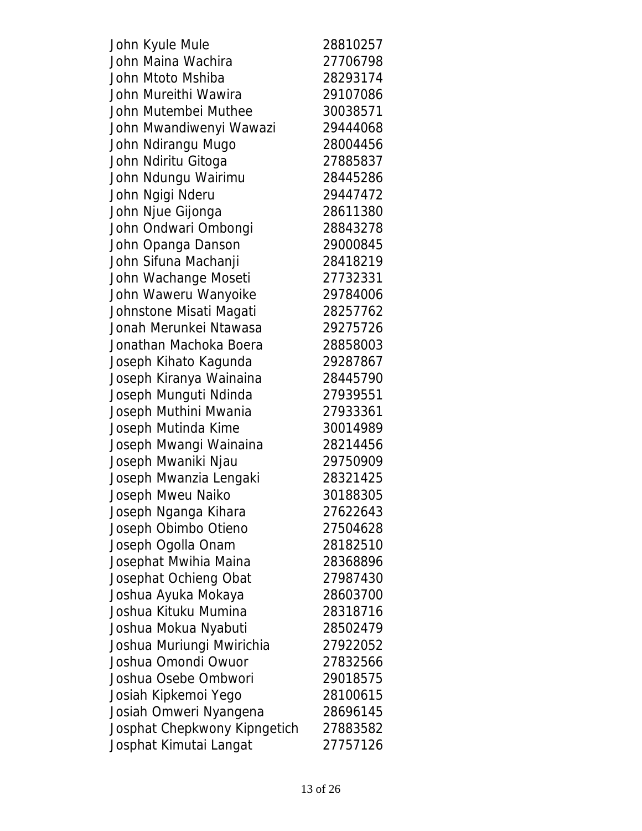| John Kyule Mule              | 28810257 |
|------------------------------|----------|
| John Maina Wachira           | 27706798 |
| John Mtoto Mshiba            | 28293174 |
| John Mureithi Wawira         | 29107086 |
| John Mutembei Muthee         | 30038571 |
| John Mwandiwenyi Wawazi      | 29444068 |
| John Ndirangu Mugo           | 28004456 |
| John Ndiritu Gitoga          | 27885837 |
| John Ndungu Wairimu          | 28445286 |
| John Ngigi Nderu             | 29447472 |
| John Njue Gijonga            | 28611380 |
| John Ondwari Ombongi         | 28843278 |
| John Opanga Danson           | 29000845 |
| John Sifuna Machanji         | 28418219 |
| John Wachange Moseti         | 27732331 |
| John Waweru Wanyoike         | 29784006 |
| Johnstone Misati Magati      | 28257762 |
| Jonah Merunkei Ntawasa       | 29275726 |
| Jonathan Machoka Boera       | 28858003 |
| Joseph Kihato Kagunda        | 29287867 |
| Joseph Kiranya Wainaina      | 28445790 |
| Joseph Munguti Ndinda        | 27939551 |
| Joseph Muthini Mwania        | 27933361 |
| Joseph Mutinda Kime          | 30014989 |
| Joseph Mwangi Wainaina       | 28214456 |
| Joseph Mwaniki Njau          | 29750909 |
| Joseph Mwanzia Lengaki       | 28321425 |
| Joseph Mweu Naiko            | 30188305 |
| Joseph Nganga Kihara         | 27622643 |
| Joseph Obimbo Otieno         | 27504628 |
| Joseph Ogolla Onam           | 28182510 |
| Josephat Mwihia Maina        | 28368896 |
| Josephat Ochieng Obat        | 27987430 |
| Joshua Ayuka Mokaya          | 28603700 |
| Joshua Kituku Mumina         | 28318716 |
| Joshua Mokua Nyabuti         | 28502479 |
| Joshua Muriungi Mwirichia    | 27922052 |
| Joshua Omondi Owuor          | 27832566 |
| Joshua Osebe Ombwori         | 29018575 |
| Josiah Kipkemoi Yego         | 28100615 |
| Josiah Omweri Nyangena       | 28696145 |
| Josphat Chepkwony Kipngetich | 27883582 |
| Josphat Kimutai Langat       | 27757126 |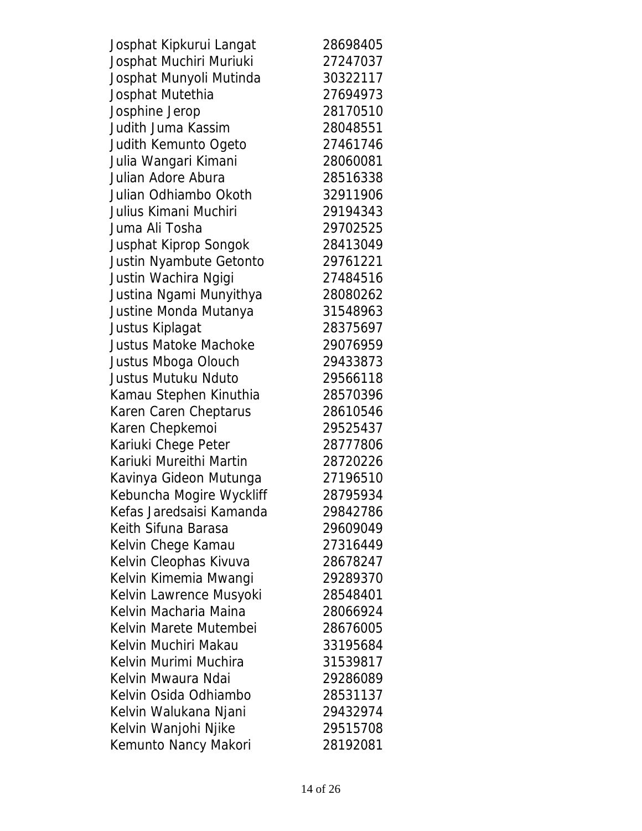| Josphat Kipkurui Langat      | 28698405 |
|------------------------------|----------|
| Josphat Muchiri Muriuki      | 27247037 |
| Josphat Munyoli Mutinda      | 30322117 |
| Josphat Mutethia             | 27694973 |
| Josphine Jerop               | 28170510 |
| <b>Judith Juma Kassim</b>    | 28048551 |
| Judith Kemunto Ogeto         | 27461746 |
| Julia Wangari Kimani         | 28060081 |
| Julian Adore Abura           | 28516338 |
| Julian Odhiambo Okoth        | 32911906 |
| Julius Kimani Muchiri        | 29194343 |
| Juma Ali Tosha               | 29702525 |
| Jusphat Kiprop Songok        | 28413049 |
| Justin Nyambute Getonto      | 29761221 |
| Justin Wachira Ngigi         | 27484516 |
| Justina Ngami Munyithya      | 28080262 |
| Justine Monda Mutanya        | 31548963 |
| Justus Kiplagat              | 28375697 |
| <b>Justus Matoke Machoke</b> | 29076959 |
| Justus Mboga Olouch          | 29433873 |
| <b>Justus Mutuku Nduto</b>   | 29566118 |
| Kamau Stephen Kinuthia       | 28570396 |
| Karen Caren Cheptarus        | 28610546 |
| Karen Chepkemoi              | 29525437 |
| Kariuki Chege Peter          | 28777806 |
| Kariuki Mureithi Martin      | 28720226 |
| Kavinya Gideon Mutunga       | 27196510 |
| Kebuncha Mogire Wyckliff     | 28795934 |
| Kefas Jaredsaisi Kamanda     | 29842786 |
| Keith Sifuna Barasa          | 29609049 |
| Kelvin Chege Kamau           | 27316449 |
| Kelvin Cleophas Kivuva       | 28678247 |
| Kelvin Kimemia Mwangi        | 29289370 |
| Kelvin Lawrence Musyoki      | 28548401 |
| Kelvin Macharia Maina        | 28066924 |
| Kelvin Marete Mutembei       | 28676005 |
| Kelvin Muchiri Makau         | 33195684 |
| Kelvin Murimi Muchira        | 31539817 |
| Kelvin Mwaura Ndai           | 29286089 |
| Kelvin Osida Odhiambo        | 28531137 |
| Kelvin Walukana Njani        | 29432974 |
| Kelvin Wanjohi Njike         | 29515708 |
| Kemunto Nancy Makori         | 28192081 |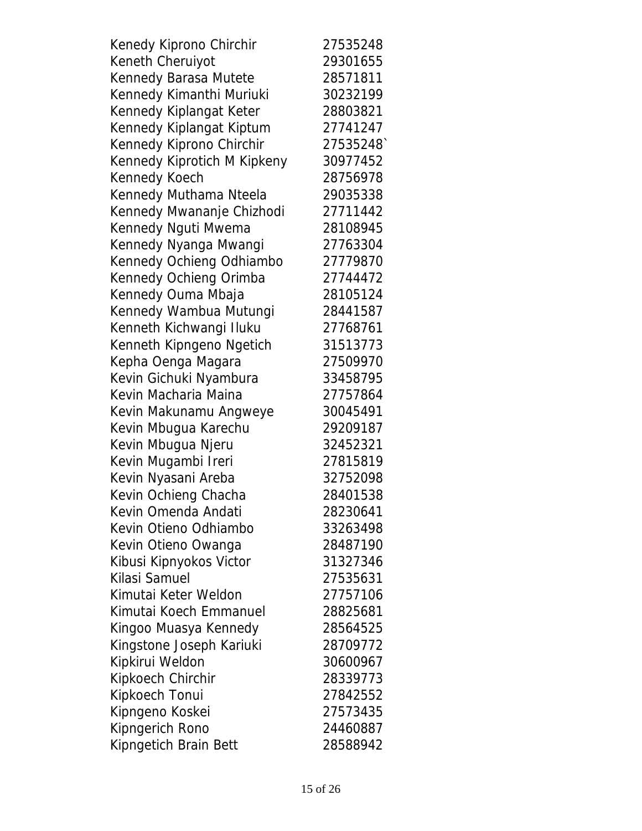| Kenedy Kiprono Chirchir     | 27535248 |
|-----------------------------|----------|
| Keneth Cheruiyot            | 29301655 |
| Kennedy Barasa Mutete       | 28571811 |
| Kennedy Kimanthi Muriuki    | 30232199 |
| Kennedy Kiplangat Keter     | 28803821 |
| Kennedy Kiplangat Kiptum    | 27741247 |
| Kennedy Kiprono Chirchir    | 27535248 |
| Kennedy Kiprotich M Kipkeny | 30977452 |
| Kennedy Koech               | 28756978 |
| Kennedy Muthama Nteela      | 29035338 |
| Kennedy Mwananje Chizhodi   | 27711442 |
| Kennedy Nguti Mwema         | 28108945 |
| Kennedy Nyanga Mwangi       | 27763304 |
| Kennedy Ochieng Odhiambo    | 27779870 |
| Kennedy Ochieng Orimba      | 27744472 |
| Kennedy Ouma Mbaja          | 28105124 |
| Kennedy Wambua Mutungi      | 28441587 |
| Kenneth Kichwangi Iluku     | 27768761 |
| Kenneth Kipngeno Ngetich    | 31513773 |
| Kepha Oenga Magara          | 27509970 |
| Kevin Gichuki Nyambura      | 33458795 |
| Kevin Macharia Maina        | 27757864 |
| Kevin Makunamu Angweye      | 30045491 |
| Kevin Mbugua Karechu        | 29209187 |
| Kevin Mbugua Njeru          | 32452321 |
| Kevin Mugambi Ireri         | 27815819 |
| Kevin Nyasani Areba         | 32752098 |
| Kevin Ochieng Chacha        | 28401538 |
| Kevin Omenda Andati         | 28230641 |
| Kevin Otieno Odhiambo       | 33263498 |
| Kevin Otieno Owanga         | 28487190 |
| Kibusi Kipnyokos Victor     | 31327346 |
| Kilasi Samuel               | 27535631 |
| Kimutai Keter Weldon        | 27757106 |
| Kimutai Koech Emmanuel      | 28825681 |
| Kingoo Muasya Kennedy       | 28564525 |
| Kingstone Joseph Kariuki    | 28709772 |
| Kipkirui Weldon             | 30600967 |
| Kipkoech Chirchir           | 28339773 |
| Kipkoech Tonui              | 27842552 |
| Kipngeno Koskei             | 27573435 |
| Kipngerich Rono             | 24460887 |
| Kipngetich Brain Bett       | 28588942 |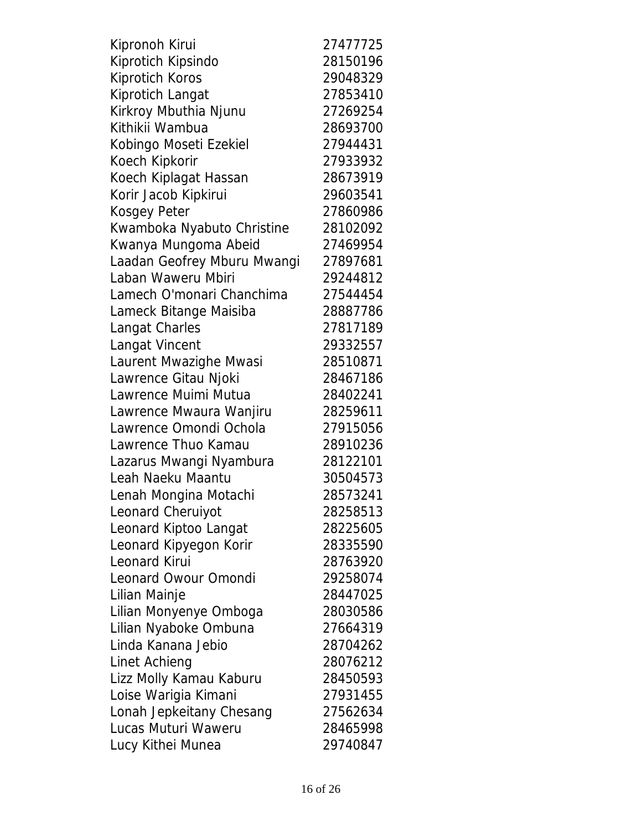| Kipronoh Kirui              | 27477725 |
|-----------------------------|----------|
| Kiprotich Kipsindo          | 28150196 |
| <b>Kiprotich Koros</b>      | 29048329 |
| Kiprotich Langat            | 27853410 |
| Kirkroy Mbuthia Njunu       | 27269254 |
| Kithikii Wambua             | 28693700 |
| Kobingo Moseti Ezekiel      | 27944431 |
| Koech Kipkorir              | 27933932 |
| Koech Kiplagat Hassan       | 28673919 |
| Korir Jacob Kipkirui        | 29603541 |
| Kosgey Peter                | 27860986 |
| Kwamboka Nyabuto Christine  | 28102092 |
| Kwanya Mungoma Abeid        | 27469954 |
| Laadan Geofrey Mburu Mwangi | 27897681 |
| Laban Waweru Mbiri          | 29244812 |
| Lamech O'monari Chanchima   | 27544454 |
| Lameck Bitange Maisiba      | 28887786 |
| Langat Charles              | 27817189 |
| Langat Vincent              | 29332557 |
| Laurent Mwazighe Mwasi      | 28510871 |
| Lawrence Gitau Njoki        | 28467186 |
| Lawrence Muimi Mutua        | 28402241 |
| Lawrence Mwaura Wanjiru     | 28259611 |
| Lawrence Omondi Ochola      | 27915056 |
| Lawrence Thuo Kamau         | 28910236 |
| Lazarus Mwangi Nyambura     | 28122101 |
| Leah Naeku Maantu           | 30504573 |
| Lenah Mongina Motachi       | 28573241 |
| Leonard Cheruiyot           | 28258513 |
| Leonard Kiptoo Langat       | 28225605 |
| Leonard Kipyegon Korir      | 28335590 |
| Leonard Kirui               | 28763920 |
| Leonard Owour Omondi        | 29258074 |
| Lilian Mainje               | 28447025 |
| Lilian Monyenye Omboga      | 28030586 |
| Lilian Nyaboke Ombuna       | 27664319 |
| Linda Kanana Jebio          | 28704262 |
| <b>Linet Achieng</b>        | 28076212 |
| Lizz Molly Kamau Kaburu     | 28450593 |
| Loise Warigia Kimani        | 27931455 |
| Lonah Jepkeitany Chesang    | 27562634 |
| Lucas Muturi Waweru         | 28465998 |
| Lucy Kithei Munea           | 29740847 |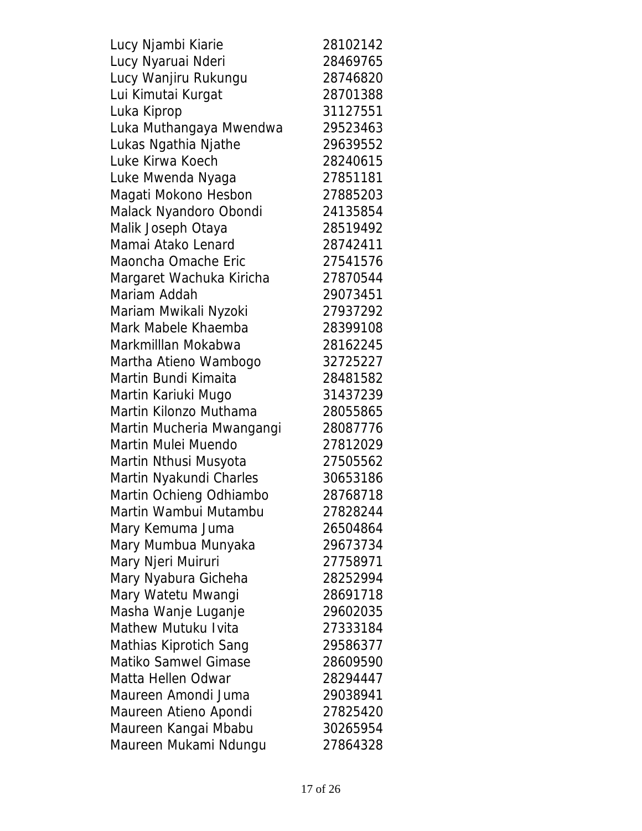| Lucy Njambi Kiarie         | 28102142 |
|----------------------------|----------|
| Lucy Nyaruai Nderi         | 28469765 |
| Lucy Wanjiru Rukungu       | 28746820 |
| Lui Kimutai Kurgat         | 28701388 |
| Luka Kiprop                | 31127551 |
| Luka Muthangaya Mwendwa    | 29523463 |
| Lukas Ngathia Njathe       | 29639552 |
| Luke Kirwa Koech           | 28240615 |
| Luke Mwenda Nyaga          | 27851181 |
| Magati Mokono Hesbon       | 27885203 |
| Malack Nyandoro Obondi     | 24135854 |
| Malik Joseph Otaya         | 28519492 |
| Mamai Atako Lenard         | 28742411 |
| Maoncha Omache Eric        | 27541576 |
| Margaret Wachuka Kiricha   | 27870544 |
| Mariam Addah               | 29073451 |
| Mariam Mwikali Nyzoki      | 27937292 |
| Mark Mabele Khaemba        | 28399108 |
| Markmilllan Mokabwa        | 28162245 |
| Martha Atieno Wambogo      | 32725227 |
| Martin Bundi Kimaita       | 28481582 |
| Martin Kariuki Mugo        | 31437239 |
| Martin Kilonzo Muthama     | 28055865 |
| Martin Mucheria Mwangangi  | 28087776 |
| Martin Mulei Muendo        | 27812029 |
| Martin Nthusi Musyota      | 27505562 |
| Martin Nyakundi Charles    | 30653186 |
| Martin Ochieng Odhiambo    | 28768718 |
| Martin Wambui Mutambu      | 27828244 |
| Mary Kemuma Juma           | 26504864 |
| Mary Mumbua Munyaka        | 29673734 |
| Mary Njeri Muiruri         | 27758971 |
| Mary Nyabura Gicheha       | 28252994 |
| Mary Watetu Mwangi         | 28691718 |
| Masha Wanje Luganje        | 29602035 |
| <b>Mathew Mutuku Ivita</b> | 27333184 |
| Mathias Kiprotich Sang     | 29586377 |
| Matiko Samwel Gimase       | 28609590 |
| Matta Hellen Odwar         | 28294447 |
| Maureen Amondi Juma        | 29038941 |
| Maureen Atieno Apondi      | 27825420 |
| Maureen Kangai Mbabu       | 30265954 |
| Maureen Mukami Ndungu      | 27864328 |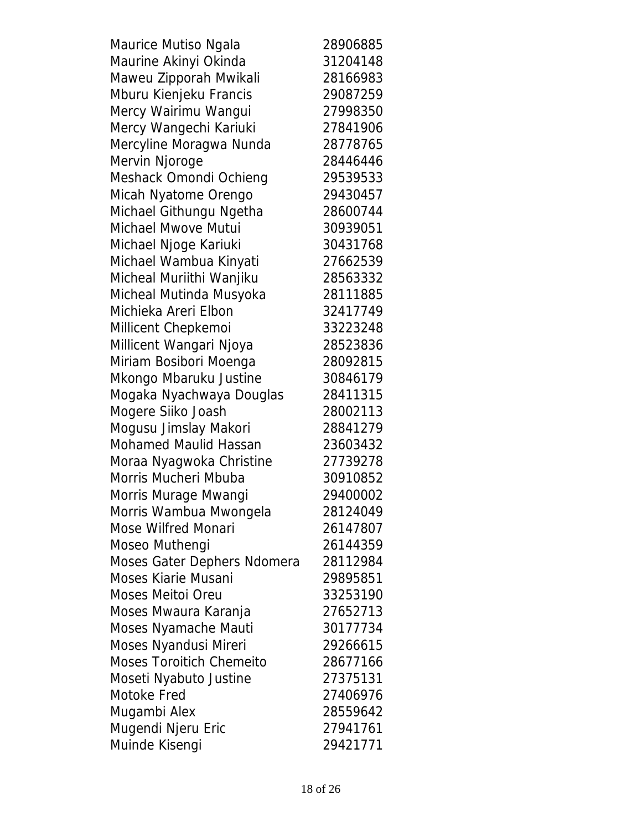Maurice Mutiso Ngala 28906885 Maurine Akinyi Okinda 31204148 Maweu Zipporah Mwikali 28166983 Mburu Kienjeku Francis 29087259 Mercy Wairimu Wangui 27998350 Mercy Wangechi Kariuki 27841906 Mercyline Moragwa Nunda 28778765 Mervin Njoroge 28446446 Meshack Omondi Ochieng 29539533 Micah Nyatome Orengo 29430457 Michael Githungu Ngetha 28600744 Michael Mwove Mutui 30939051 Michael Njoge Kariuki 30431768 Michael Wambua Kinyati 27662539 Micheal Muriithi Wanjiku 28563332 Micheal Mutinda Musyoka 28111885 Michieka Areri Elbon 32417749 Millicent Chepkemoi 33223248 Millicent Wangari Njoya 28523836 Miriam Bosibori Moenga 28092815 Mkongo Mbaruku Justine 30846179 Mogaka Nyachwaya Douglas 28411315 Mogere Siiko Joash 28002113 Mogusu Jimslay Makori 28841279 Mohamed Maulid Hassan 23603432 Moraa Nyagwoka Christine 27739278 Morris Mucheri Mbuba 30910852 Morris Murage Mwangi 29400002 Morris Wambua Mwongela 28124049 Mose Wilfred Monari 26147807 Moseo Muthengi 26144359 Moses Gater Dephers Ndomera 28112984 Moses Kiarie Musani 29895851 Moses Meitoi Oreu 1988 1990 Moses Mwaura Karanja 27652713 Moses Nyamache Mauti 30177734 Moses Nyandusi Mireri 29266615 Moses Toroitich Chemeito 28677166 Moseti Nyabuto Justine 27375131 Motoke Fred 27406976 Mugambi Alex 28559642 Mugendi Njeru Eric 27941761 Muinde Kisengi 29421771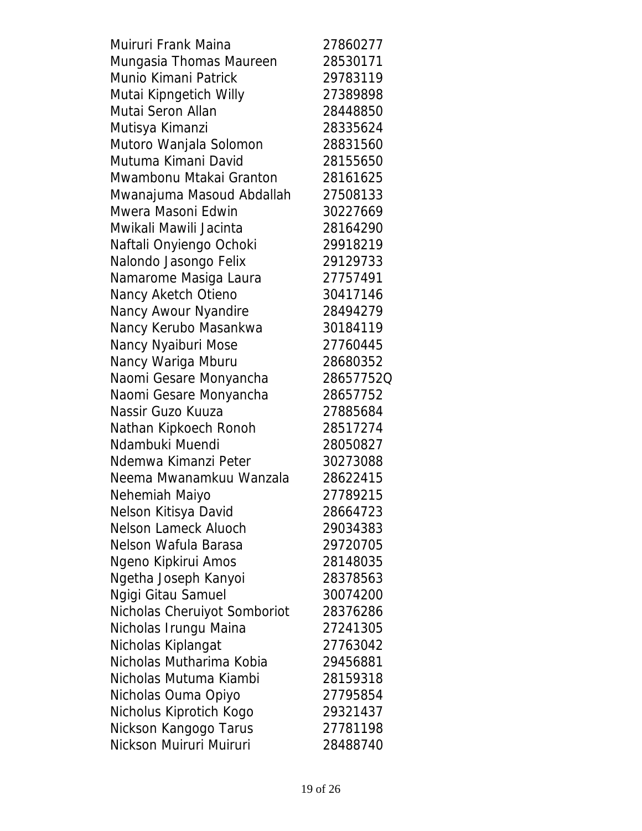| Muiruri Frank Maina          | 27860277  |
|------------------------------|-----------|
| Mungasia Thomas Maureen      | 28530171  |
| Munio Kimani Patrick         | 29783119  |
| Mutai Kipngetich Willy       | 27389898  |
| Mutai Seron Allan            | 28448850  |
| Mutisya Kimanzi              | 28335624  |
| Mutoro Wanjala Solomon       | 28831560  |
| Mutuma Kimani David          | 28155650  |
| Mwambonu Mtakai Granton      | 28161625  |
| Mwanajuma Masoud Abdallah    | 27508133  |
| Mwera Masoni Edwin           | 30227669  |
| Mwikali Mawili Jacinta       | 28164290  |
| Naftali Onyiengo Ochoki      | 29918219  |
| Nalondo Jasongo Felix        | 29129733  |
| Namarome Masiga Laura        | 27757491  |
| Nancy Aketch Otieno          | 30417146  |
| Nancy Awour Nyandire         | 28494279  |
| Nancy Kerubo Masankwa        | 30184119  |
| Nancy Nyaiburi Mose          | 27760445  |
| Nancy Wariga Mburu           | 28680352  |
| Naomi Gesare Monyancha       | 28657752Q |
| Naomi Gesare Monyancha       | 28657752  |
| Nassir Guzo Kuuza            | 27885684  |
| Nathan Kipkoech Ronoh        | 28517274  |
| Ndambuki Muendi              | 28050827  |
| Ndemwa Kimanzi Peter         | 30273088  |
| Neema Mwanamkuu Wanzala      | 28622415  |
| Nehemiah Maiyo               | 27789215  |
| Nelson Kitisya David         | 28664723  |
| <b>Nelson Lameck Aluoch</b>  | 29034383  |
| Nelson Wafula Barasa         | 29720705  |
| Ngeno Kipkirui Amos          | 28148035  |
| Ngetha Joseph Kanyoi         | 28378563  |
| Ngigi Gitau Samuel           | 30074200  |
| Nicholas Cheruiyot Somboriot | 28376286  |
| Nicholas Irungu Maina        | 27241305  |
| Nicholas Kiplangat           | 27763042  |
| Nicholas Mutharima Kobia     | 29456881  |
| Nicholas Mutuma Kiambi       | 28159318  |
| Nicholas Ouma Opiyo          | 27795854  |
| Nicholus Kiprotich Kogo      | 29321437  |
| Nickson Kangogo Tarus        | 27781198  |
| Nickson Muiruri Muiruri      | 28488740  |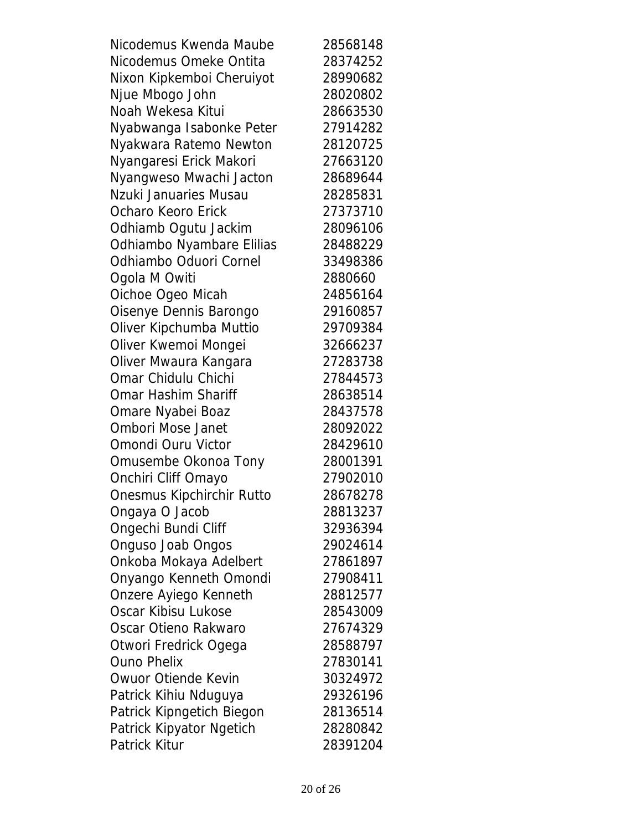| Nicodemus Kwenda Maube    | 28568148 |
|---------------------------|----------|
| Nicodemus Omeke Ontita    | 28374252 |
| Nixon Kipkemboi Cheruiyot | 28990682 |
| Njue Mbogo John           | 28020802 |
| Noah Wekesa Kitui         | 28663530 |
| Nyabwanga Isabonke Peter  | 27914282 |
| Nyakwara Ratemo Newton    | 28120725 |
| Nyangaresi Erick Makori   | 27663120 |
| Nyangweso Mwachi Jacton   | 28689644 |
| Nzuki Januaries Musau     | 28285831 |
| Ocharo Keoro Erick        | 27373710 |
| Odhiamb Ogutu Jackim      | 28096106 |
| Odhiambo Nyambare Elilias | 28488229 |
| Odhiambo Oduori Cornel    | 33498386 |
| Ogola M Owiti             | 2880660  |
| Oichoe Ogeo Micah         | 24856164 |
| Oisenye Dennis Barongo    | 29160857 |
| Oliver Kipchumba Muttio   | 29709384 |
| Oliver Kwemoi Mongei      | 32666237 |
| Oliver Mwaura Kangara     | 27283738 |
| Omar Chidulu Chichi       | 27844573 |
| Omar Hashim Shariff       | 28638514 |
| Omare Nyabei Boaz         | 28437578 |
| <b>Ombori Mose Janet</b>  | 28092022 |
| Omondi Ouru Victor        | 28429610 |
| Omusembe Okonoa Tony      | 28001391 |
| Onchiri Cliff Omayo       | 27902010 |
| Onesmus Kipchirchir Rutto | 28678278 |
| Ongaya O Jacob            | 28813237 |
| Ongechi Bundi Cliff       | 32936394 |
| Onguso Joab Ongos         | 29024614 |
| Onkoba Mokaya Adelbert    | 27861897 |
| Onyango Kenneth Omondi    | 27908411 |
| Onzere Ayiego Kenneth     | 28812577 |
| Oscar Kibisu Lukose       | 28543009 |
| Oscar Otieno Rakwaro      | 27674329 |
| Otwori Fredrick Ogega     | 28588797 |
| <b>Ouno Phelix</b>        | 27830141 |
| Owuor Otiende Kevin       | 30324972 |
| Patrick Kihiu Nduguya     | 29326196 |
| Patrick Kipngetich Biegon | 28136514 |
| Patrick Kipyator Ngetich  | 28280842 |
| Patrick Kitur             | 28391204 |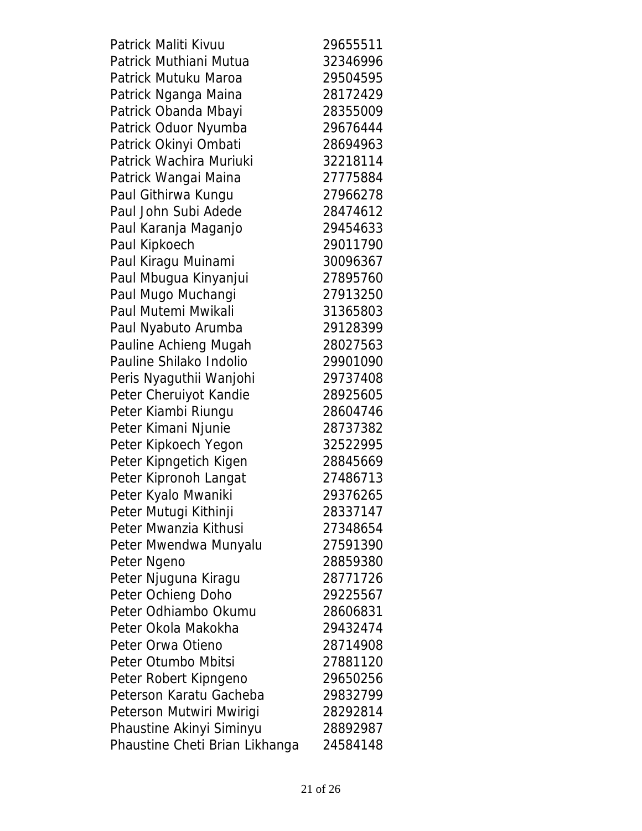| Patrick Maliti Kivuu           | 29655511 |
|--------------------------------|----------|
| Patrick Muthiani Mutua         | 32346996 |
| Patrick Mutuku Maroa           | 29504595 |
| Patrick Nganga Maina           | 28172429 |
| Patrick Obanda Mbayi           | 28355009 |
| Patrick Oduor Nyumba           | 29676444 |
| Patrick Okinyi Ombati          | 28694963 |
| Patrick Wachira Muriuki        | 32218114 |
| Patrick Wangai Maina           | 27775884 |
| Paul Githirwa Kungu            | 27966278 |
| Paul John Subi Adede           | 28474612 |
| Paul Karanja Maganjo           | 29454633 |
| Paul Kipkoech                  | 29011790 |
| Paul Kiragu Muinami            | 30096367 |
| Paul Mbugua Kinyanjui          | 27895760 |
| Paul Mugo Muchangi             | 27913250 |
| Paul Mutemi Mwikali            | 31365803 |
| Paul Nyabuto Arumba            | 29128399 |
| Pauline Achieng Mugah          | 28027563 |
| Pauline Shilako Indolio        | 29901090 |
| Peris Nyaguthii Wanjohi        | 29737408 |
| Peter Cheruiyot Kandie         | 28925605 |
| Peter Kiambi Riungu            | 28604746 |
| Peter Kimani Njunie            | 28737382 |
| Peter Kipkoech Yegon           | 32522995 |
| Peter Kipngetich Kigen         | 28845669 |
| Peter Kipronoh Langat          | 27486713 |
| Peter Kyalo Mwaniki            | 29376265 |
| Peter Mutugi Kithinji          | 28337147 |
| Peter Mwanzia Kithusi          | 27348654 |
| Peter Mwendwa Munyalu          | 27591390 |
| Peter Ngeno                    | 28859380 |
| Peter Njuguna Kiragu           | 28771726 |
| Peter Ochieng Doho             | 29225567 |
| Peter Odhiambo Okumu           | 28606831 |
| Peter Okola Makokha            | 29432474 |
| Peter Orwa Otieno              | 28714908 |
| Peter Otumbo Mbitsi            | 27881120 |
| Peter Robert Kipngeno          | 29650256 |
| Peterson Karatu Gacheba        | 29832799 |
| Peterson Mutwiri Mwirigi       | 28292814 |
| Phaustine Akinyi Siminyu       | 28892987 |
| Phaustine Cheti Brian Likhanga | 24584148 |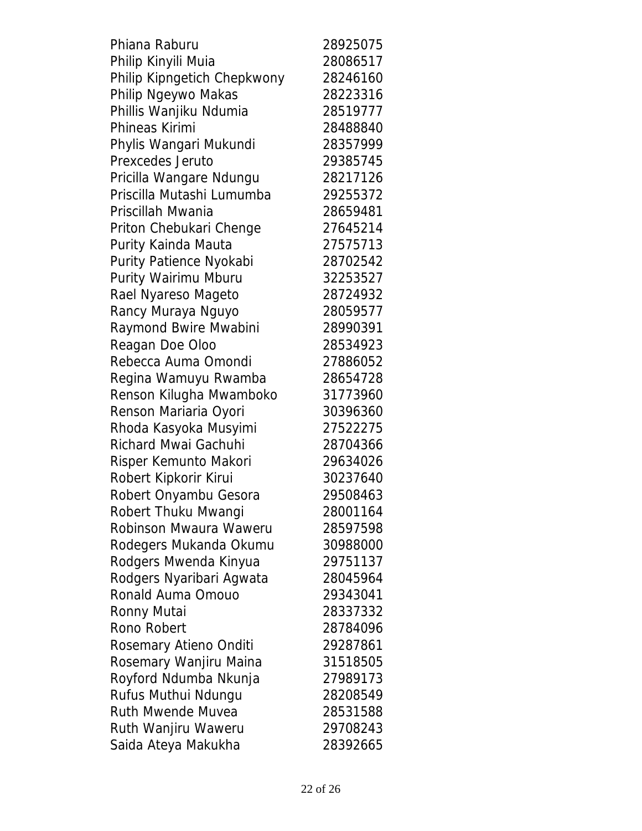| Phiana Raburu               | 28925075 |
|-----------------------------|----------|
| Philip Kinyili Muia         | 28086517 |
| Philip Kipngetich Chepkwony | 28246160 |
| Philip Ngeywo Makas         | 28223316 |
| Phillis Wanjiku Ndumia      | 28519777 |
| Phineas Kirimi              | 28488840 |
| Phylis Wangari Mukundi      | 28357999 |
| Prexcedes Jeruto            | 29385745 |
| Pricilla Wangare Ndungu     | 28217126 |
| Priscilla Mutashi Lumumba   | 29255372 |
| Priscillah Mwania           | 28659481 |
| Priton Chebukari Chenge     | 27645214 |
| Purity Kainda Mauta         | 27575713 |
| Purity Patience Nyokabi     | 28702542 |
| Purity Wairimu Mburu        | 32253527 |
| Rael Nyareso Mageto         | 28724932 |
| Rancy Muraya Nguyo          | 28059577 |
| Raymond Bwire Mwabini       | 28990391 |
| Reagan Doe Oloo             | 28534923 |
| Rebecca Auma Omondi         | 27886052 |
| Regina Wamuyu Rwamba        | 28654728 |
| Renson Kilugha Mwamboko     | 31773960 |
| Renson Mariaria Oyori       | 30396360 |
| Rhoda Kasyoka Musyimi       | 27522275 |
| Richard Mwai Gachuhi        | 28704366 |
| Risper Kemunto Makori       | 29634026 |
| Robert Kipkorir Kirui       | 30237640 |
| Robert Onyambu Gesora       | 29508463 |
| Robert Thuku Mwangi         | 28001164 |
| Robinson Mwaura Waweru      | 28597598 |
| Rodegers Mukanda Okumu      | 30988000 |
| Rodgers Mwenda Kinyua       | 29751137 |
| Rodgers Nyaribari Agwata    | 28045964 |
| Ronald Auma Omouo           | 29343041 |
| Ronny Mutai                 | 28337332 |
| Rono Robert                 | 28784096 |
| Rosemary Atieno Onditi      | 29287861 |
| Rosemary Wanjiru Maina      | 31518505 |
| Royford Ndumba Nkunja       | 27989173 |
| Rufus Muthui Ndungu         | 28208549 |
| <b>Ruth Mwende Muvea</b>    | 28531588 |
| Ruth Wanjiru Waweru         | 29708243 |
| Saida Ateya Makukha         | 28392665 |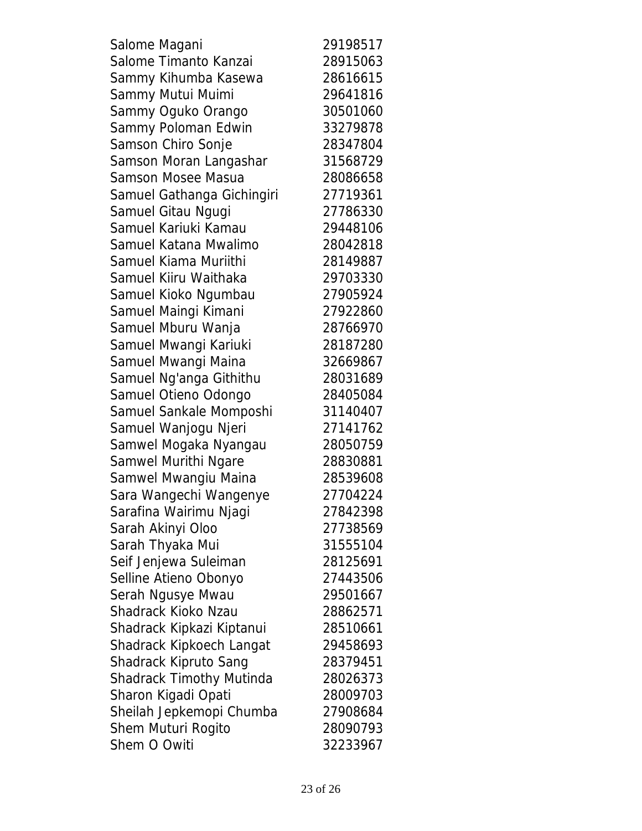Salome Magani 29198517 Salome Timanto Kanzai 28915063 Sammy Kihumba Kasewa 28616615 Sammy Mutui Muimi 29641816 Sammy Oguko Orango 30501060 Sammy Poloman Edwin 33279878 Samson Chiro Sonje 28347804 Samson Moran Langashar 31568729 Samson Mosee Masua 28086658 Samuel Gathanga Gichingiri 27719361 Samuel Gitau Ngugi 27786330 Samuel Kariuki Kamau 29448106 Samuel Katana Mwalimo 28042818 Samuel Kiama Muriithi 28149887 Samuel Kiiru Waithaka 29703330 Samuel Kioko Ngumbau 27905924 Samuel Maingi Kimani **27922860** Samuel Mburu Wanja 28766970 Samuel Mwangi Kariuki **28187280** Samuel Mwangi Maina **32669867** Samuel Ng'anga Githithu 28031689 Samuel Otieno Odongo 28405084 Samuel Sankale Momposhi 31140407 Samuel Wanjogu Njeri 27141762 Samwel Mogaka Nyangau 28050759 Samwel Murithi Ngare 28830881 Samwel Mwangiu Maina 28539608 Sara Wangechi Wangenye 27704224 Sarafina Wairimu Njagi 1942/2398 Sarah Akinyi Oloo 27738569 Sarah Thyaka Mui 31555104 Seif Jenjewa Suleiman 28125691 Selline Atieno Obonyo 27443506 Serah Ngusye Mwau 29501667 Shadrack Kioko Nzau 28862571 Shadrack Kipkazi Kiptanui 28510661 Shadrack Kipkoech Langat 29458693 Shadrack Kipruto Sang 28379451 Shadrack Timothy Mutinda 28026373 Sharon Kigadi Opati 28009703 Sheilah Jepkemopi Chumba 27908684 Shem Muturi Rogito 28090793 Shem O Owiti 32233967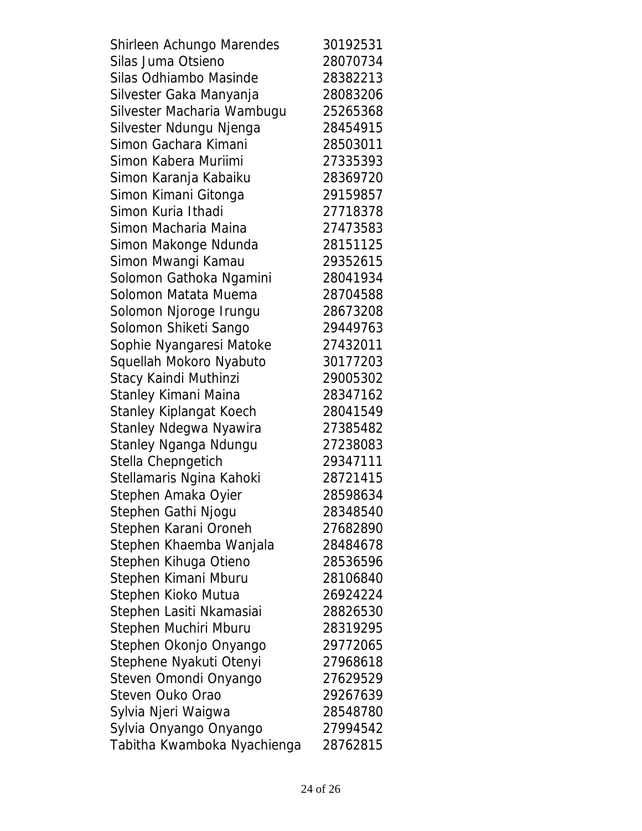Shirleen Achungo Marendes 30192531 Silas Juma Otsieno 28070734 Silas Odhiambo Masinde 28382213 Silvester Gaka Manyanja 28083206 Silvester Macharia Wambugu 25265368 Silvester Ndungu Njenga 28454915 Simon Gachara Kimani 28503011 Simon Kabera Muriimi 27335393 Simon Karanja Kabaiku 28369720 Simon Kimani Gitonga 29159857 Simon Kuria Ithadi 27718378 Simon Macharia Maina 27473583 Simon Makonge Ndunda 28151125 Simon Mwangi Kamau 29352615 Solomon Gathoka Ngamini 28041934 Solomon Matata Muema 28704588 Solomon Njoroge Irungu 28673208 Solomon Shiketi Sango 29449763 Sophie Nyangaresi Matoke 27432011 Squellah Mokoro Nyabuto 30177203 Stacy Kaindi Muthinzi 29005302 Stanley Kimani Maina 28347162 Stanley Kiplangat Koech 28041549 Stanley Ndegwa Nyawira 27385482 Stanley Nganga Ndungu 27238083 Stella Chepngetich 29347111 Stellamaris Ngina Kahoki 28721415 Stephen Amaka Oyier 28598634 Stephen Gathi Njogu 28348540 Stephen Karani Oroneh 27682890 Stephen Khaemba Wanjala 28484678 Stephen Kihuga Otieno 28536596 Stephen Kimani Mburu 28106840 Stephen Kioko Mutua 26924224 Stephen Lasiti Nkamasiai 28826530 Stephen Muchiri Mburu 28319295 Stephen Okonjo Onyango 29772065 Stephene Nyakuti Otenyi 27968618 Steven Omondi Onyango 27629529 Steven Ouko Orao 29267639 Sylvia Njeri Waigwa 28548780 Sylvia Onyango Onyango 27994542 Tabitha Kwamboka Nyachienga 28762815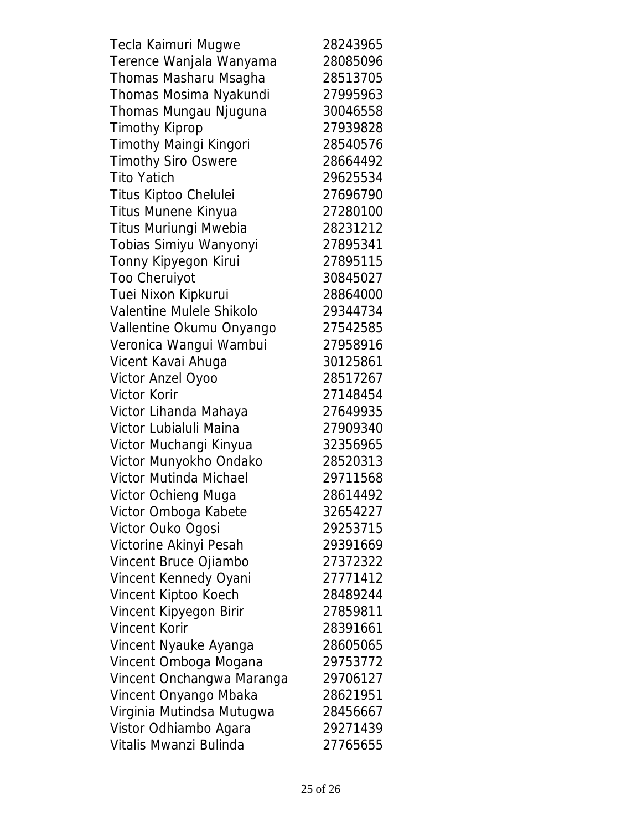| Tecla Kaimuri Mugwe        | 28243965 |
|----------------------------|----------|
| Terence Wanjala Wanyama    | 28085096 |
| Thomas Masharu Msagha      | 28513705 |
| Thomas Mosima Nyakundi     | 27995963 |
| Thomas Mungau Njuguna      | 30046558 |
| <b>Timothy Kiprop</b>      | 27939828 |
| Timothy Maingi Kingori     | 28540576 |
| <b>Timothy Siro Oswere</b> | 28664492 |
| <b>Tito Yatich</b>         | 29625534 |
| Titus Kiptoo Chelulei      | 27696790 |
| Titus Munene Kinyua        | 27280100 |
| Titus Muriungi Mwebia      | 28231212 |
| Tobias Simiyu Wanyonyi     | 27895341 |
| Tonny Kipyegon Kirui       | 27895115 |
| <b>Too Cheruiyot</b>       | 30845027 |
| Tuei Nixon Kipkurui        | 28864000 |
| Valentine Mulele Shikolo   | 29344734 |
| Vallentine Okumu Onyango   | 27542585 |
| Veronica Wangui Wambui     | 27958916 |
| Vicent Kavai Ahuga         | 30125861 |
| Victor Anzel Oyoo          | 28517267 |
| <b>Victor Korir</b>        | 27148454 |
| Victor Lihanda Mahaya      | 27649935 |
| Victor Lubialuli Maina     | 27909340 |
| Victor Muchangi Kinyua     | 32356965 |
| Victor Munyokho Ondako     | 28520313 |
| Victor Mutinda Michael     | 29711568 |
| Victor Ochieng Muga        | 28614492 |
| Victor Omboga Kabete       | 32654227 |
| Victor Ouko Ogosi          | 29253715 |
| Victorine Akinyi Pesah     | 29391669 |
| Vincent Bruce Ojiambo      | 27372322 |
| Vincent Kennedy Oyani      | 27771412 |
| Vincent Kiptoo Koech       | 28489244 |
| Vincent Kipyegon Birir     | 27859811 |
| <b>Vincent Korir</b>       | 28391661 |
| Vincent Nyauke Ayanga      | 28605065 |
| Vincent Omboga Mogana      | 29753772 |
| Vincent Onchangwa Maranga  | 29706127 |
| Vincent Onyango Mbaka      | 28621951 |
| Virginia Mutindsa Mutugwa  | 28456667 |
| Vistor Odhiambo Agara      | 29271439 |
| Vitalis Mwanzi Bulinda     | 27765655 |